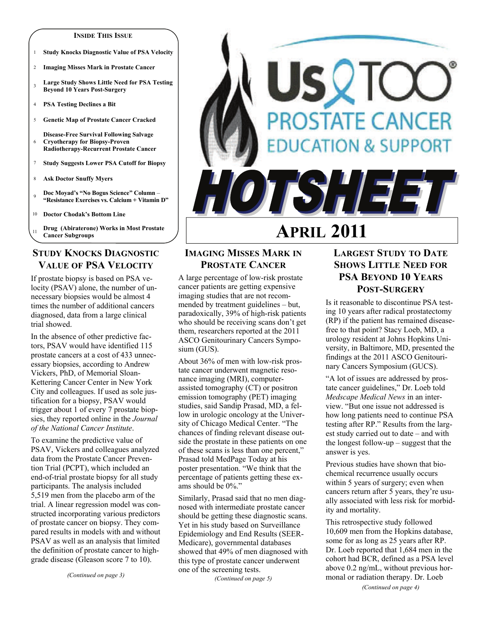#### **INSIDE THIS ISSUE**

- 1 **Study Knocks Diagnostic Value of PSA Velocity**
- 2 **Imaging Misses Mark in Prostate Cancer**
- <sup>3</sup>**Large Study Shows Little Need for PSA Testing Beyond 10 Years Post-Surgery**
- 4 **PSA Testing Declines a Bit**
- 5 **Genetic Map of Prostate Cancer Cracked**
- 6 **Disease-Free Survival Following Salvage Cryotherapy for Biopsy-Proven Radiotherapy-Recurrent Prostate Cancer**
- 7 **Study Suggests Lower PSA Cutoff for Biopsy**
- 8 **Ask Doctor Snuffy Myers**
- <sup>9</sup>**Doc Moyad's "No Bogus Science" Column "Resistance Exercises vs. Calcium + Vitamin D"**
- 10 **Doctor Chodak's Bottom Line**
- <sup>11</sup>**Drug (Abiraterone) Works in Most Prostate Cancer Subgroups**

## **STUDY KNOCKS DIAGNOSTIC VALUE OF PSA VELOCITY**

If prostate biopsy is based on PSA velocity (PSAV) alone, the number of unnecessary biopsies would be almost 4 times the number of additional cancers diagnosed, data from a large clinical trial showed.

In the absence of other predictive factors, PSAV would have identified 115 prostate cancers at a cost of 433 unnecessary biopsies, according to Andrew Vickers, PhD, of Memorial Sloan-Kettering Cancer Center in New York City and colleagues. If used as sole justification for a biopsy, PSAV would trigger about 1 of every 7 prostate biopsies, they reported online in the *Journal of the National Cancer Institute*.

To examine the predictive value of PSAV, Vickers and colleagues analyzed data from the Prostate Cancer Prevention Trial (PCPT), which included an end-of-trial prostate biopsy for all study participants. The analysis included 5,519 men from the placebo arm of the trial. A linear regression model was constructed incorporating various predictors of prostate cancer on biopsy. They compared results in models with and without PSAV as well as an analysis that limited the definition of prostate cancer to highgrade disease (Gleason score 7 to 10).

*(Continued on page 3)* 

# SQTC **PROSTATE CANCER CATION & SUPPORT** STIEE **APRIL 2011**

## **IMAGING MISSES MARK IN PROSTATE CANCER**

A large percentage of low-risk prostate cancer patients are getting expensive imaging studies that are not recommended by treatment guidelines – but, paradoxically, 39% of high-risk patients who should be receiving scans don't get them, researchers reported at the 2011 ASCO Genitourinary Cancers Symposium (GUS).

About 36% of men with low-risk prostate cancer underwent magnetic resonance imaging (MRI), computerassisted tomography (CT) or positron emission tomography (PET) imaging studies, said Sandip Prasad, MD, a fellow in urologic oncology at the University of Chicago Medical Center. "The chances of finding relevant disease outside the prostate in these patients on one of these scans is less than one percent," Prasad told MedPage Today at his poster presentation. "We think that the percentage of patients getting these exams should be 0%."

Similarly, Prasad said that no men diagnosed with intermediate prostate cancer should be getting these diagnostic scans. Yet in his study based on Surveillance Epidemiology and End Results (SEER-Medicare), governmental databases showed that 49% of men diagnosed with this type of prostate cancer underwent one of the screening tests.

*(Continued on page 5)* 

# **LARGEST STUDY TO DATE SHOWS LITTLE NEED FOR PSA BEYOND 10 YEARS POST-SURGERY**

Is it reasonable to discontinue PSA testing 10 years after radical prostatectomy (RP) if the patient has remained diseasefree to that point? Stacy Loeb, MD, a urology resident at Johns Hopkins University, in Baltimore, MD, presented the findings at the 2011 ASCO Genitourinary Cancers Symposium (GUCS).

"A lot of issues are addressed by prostate cancer guidelines," Dr. Loeb told *Medscape Medical News* in an interview. "But one issue not addressed is how long patients need to continue PSA testing after RP." Results from the largest study carried out to date – and with the longest follow-up – suggest that the answer is yes.

Previous studies have shown that biochemical recurrence usually occurs within 5 years of surgery; even when cancers return after 5 years, they're usually associated with less risk for morbidity and mortality.

This retrospective study followed 10,609 men from the Hopkins database, some for as long as 25 years after RP. Dr. Loeb reported that 1,684 men in the cohort had BCR, defined as a PSA level above 0.2 ng/mL, without previous hormonal or radiation therapy. Dr. Loeb

*(Continued on page 4)*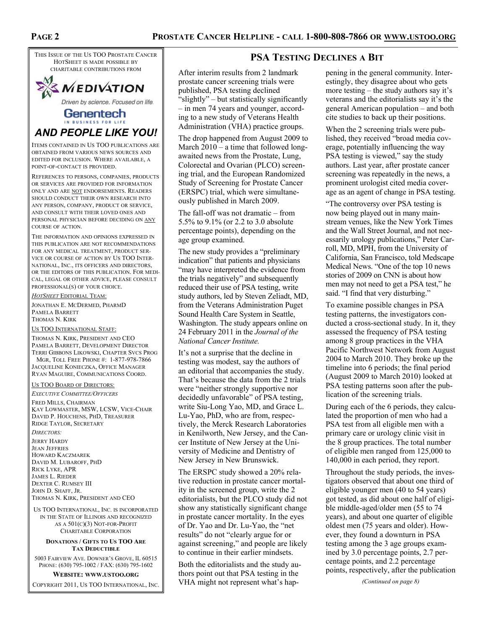THIS ISSUE OF THE US TOO PROSTATE CANCER HOTSHEET IS MADE POSSIBLE BY CHARITABLE CONTRIBUTIONS FROM



Driven by science. Focused on life.

## Genentech IN BUSINESS FOR LIFE *AND PEOPLE LIKE YOU!*

ITEMS CONTAINED IN US TOO PUBLICATIONS ARE OBTAINED FROM VARIOUS NEWS SOURCES AND EDITED FOR INCLUSION. WHERE AVAILABLE, A POINT-OF-CONTACT IS PROVIDED.

REFERENCES TO PERSONS, COMPANIES, PRODUCTS OR SERVICES ARE PROVIDED FOR INFORMATION ONLY AND ARE NOT ENDORSEMENTS. READERS SHOULD CONDUCT THEIR OWN RESEARCH INTO ANY PERSON, COMPANY, PRODUCT OR SERVICE, AND CONSULT WITH THEIR LOVED ONES AND PERSONAL PHYSICIAN BEFORE DECIDING ON ANY COURSE OF ACTION.

THE INFORMATION AND OPINIONS EXPRESSED IN THIS PUBLICATION ARE NOT RECOMMENDATIONS FOR ANY MEDICAL TREATMENT, PRODUCT SER-VICE OR COURSE OF ACTION BY US TOO INTER-NATIONAL, INC., ITS OFFICERS AND DIRECTORS, OR THE EDITORS OF THIS PUBLICATION. FOR MEDI-CAL, LEGAL OR OTHER ADVICE, PLEASE CONSULT PROFESSIONAL(S) OF YOUR CHOICE.

*HOTSHEET* EDITORIAL TEAM:

JONATHAN E. MCDERMED, PHARMD PAMELA BARRETT THOMAS N. KIRK

US TOO INTERNATIONAL STAFF:

THOMAS N. KIRK, PRESIDENT AND CEO PAMELA BARRETT, DEVELOPMENT DIRECTOR TERRI GIBBONS LIKOWSKI, CHAPTER SVCS PROG MGR, TOLL FREE PHONE #: 1-877-978-7866

JACQUELINE KONIECZKA, OFFICE MANAGER RYAN MAGUIRE, COMMUNICATIONS COORD.

#### US TOO BOARD OF DIRECTORS:

*EXECUTIVE COMMITTEE/OFFICERS* FRED MILLS, CHAIRMAN KAY LOWMASTER, MSW, LCSW, VICE-CHAIR DAVID P. HOUCHENS, PHD, TREASURER RIDGE TAYLOR, SECRETARY

*DIRECTORS:*  JERRY HARDY JEAN JEFFRIES HOWARD KACZMAREK DAVID M. LUBAROFF, PHD RICK LYKE, APR JAMES L. RIEDER DEXTER C. RUMSEY III JOHN D. SHAFF, JR. THOMAS N. KIRK, PRESIDENT AND CEO

US TOO INTERNATIONAL, INC. IS INCORPORATED IN THE STATE OF ILLINOIS AND RECOGNIZED AS A 501(C)(3) NOT-FOR-PROFIT CHARITABLE CORPORATION

#### **DONATIONS / GIFTS TO US TOO ARE TAX DEDUCTIBLE**

5003 FAIRVIEW AVE. DOWNER'S GROVE, IL 60515 PHONE: (630) 795-1002 / FAX: (630) 795-1602

#### **WEBSITE: WWW.USTOO.ORG**

COPYRIGHT 2011, US TOO INTERNATIONAL, INC.

## **PSA TESTING DECLINES A BIT**

After interim results from 2 landmark prostate cancer screening trials were published, PSA testing declined "slightly" – but statistically significantly – in men 74 years and younger, according to a new study of Veterans Health Administration (VHA) practice groups.

The drop happened from August 2009 to March 2010 – a time that followed longawaited news from the Prostate, Lung, Colorectal and Ovarian (PLCO) screening trial, and the European Randomized Study of Screening for Prostate Cancer (ERSPC) trial, which were simultaneously published in March 2009.

The fall-off was not dramatic – from 5.5% to 9.1% (or 2.2 to 3.0 absolute percentage points), depending on the age group examined.

The new study provides a "preliminary indication" that patients and physicians "may have interpreted the evidence from the trials negatively" and subsequently reduced their use of PSA testing, write study authors, led by Steven Zeliadt, MD, from the Veterans Administration Puget Sound Health Care System in Seattle, Washington. The study appears online on 24 February 2011 in the *Journal of the National Cancer Institute.*

It's not a surprise that the decline in testing was modest, say the authors of an editorial that accompanies the study. That's because the data from the 2 trials were "neither strongly supportive nor decidedly unfavorable" of PSA testing, write Siu-Long Yao, MD, and Grace L. Lu-Yao, PhD, who are from, respectively, the Merck Research Laboratories in Kenilworth, New Jersey, and the Cancer Institute of New Jersey at the University of Medicine and Dentistry of New Jersey in New Brunswick.

The ERSPC study showed a 20% relative reduction in prostate cancer mortality in the screened group, write the 2 editorialists, but the PLCO study did not show any statistically significant change in prostate cancer mortality. In the eyes of Dr. Yao and Dr. Lu-Yao, the "net results" do not "clearly argue for or against screening," and people are likely to continue in their earlier mindsets.

Both the editorialists and the study authors point out that PSA testing in the VHA might not represent what's hap-

pening in the general community. Interestingly, they disagree about who gets more testing – the study authors say it's veterans and the editorialists say it's the general American population – and both cite studies to back up their positions.

When the 2 screening trials were published, they received "broad media coverage, potentially influencing the way PSA testing is viewed," say the study authors. Last year, after prostate cancer screening was repeatedly in the news, a prominent urologist cited media coverage as an agent of change in PSA testing.

"The controversy over PSA testing is now being played out in many mainstream venues, like the New York Times and the Wall Street Journal, and not necessarily urology publications," Peter Carroll, MD, MPH, from the University of California, San Francisco, told Medscape Medical News. "One of the top 10 news stories of 2009 on CNN is about how men may not need to get a PSA test," he said. "I find that very disturbing."

To examine possible changes in PSA testing patterns, the investigators conducted a cross-sectional study. In it, they assessed the frequency of PSA testing among 8 group practices in the VHA Pacific Northwest Network from August 2004 to March 2010. They broke up the timeline into 6 periods; the final period (August 2009 to March 2010) looked at PSA testing patterns soon after the publication of the screening trials.

During each of the 6 periods, they calculated the proportion of men who had a PSA test from all eligible men with a primary care or urology clinic visit in the 8 group practices. The total number of eligible men ranged from 125,000 to 140,000 in each period, they report.

Throughout the study periods, the investigators observed that about one third of eligible younger men (40 to 54 years) got tested, as did about one half of eligible middle-aged/older men (55 to 74 years), and about one quarter of eligible oldest men (75 years and older). However, they found a downturn in PSA testing among the 3 age groups examined by 3.0 percentage points, 2.7 percentage points, and 2.2 percentage points, respectively, after the publication

*(Continued on page 8)*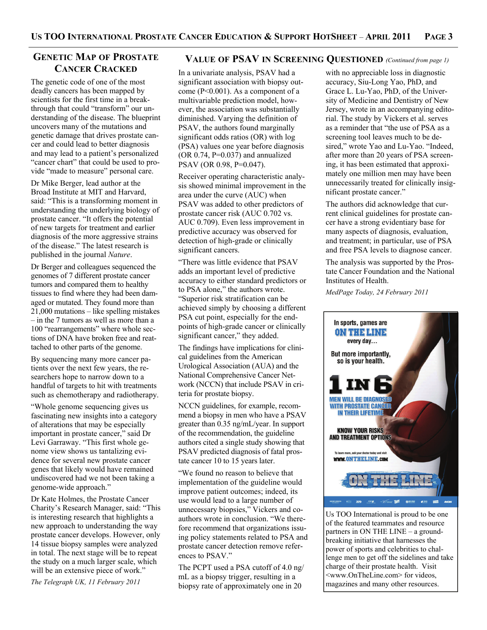## **GENETIC MAP OF PROSTATE CANCER CRACKED**

The genetic code of one of the most deadly cancers has been mapped by scientists for the first time in a breakthrough that could "transform" our understanding of the disease. The blueprint uncovers many of the mutations and genetic damage that drives prostate cancer and could lead to better diagnosis and may lead to a patient's personalized "cancer chart" that could be used to provide "made to measure" personal care.

Dr Mike Berger, lead author at the Broad Institute at MIT and Harvard, said: "This is a transforming moment in understanding the underlying biology of prostate cancer. "It offers the potential of new targets for treatment and earlier diagnosis of the more aggressive strains of the disease." The latest research is published in the journal *Nature*.

Dr Berger and colleagues sequenced the genomes of 7 different prostate cancer tumors and compared them to healthy tissues to find where they had been damaged or mutated. They found more than 21,000 mutations – like spelling mistakes – in the 7 tumors as well as more than a 100 "rearrangements" where whole sections of DNA have broken free and reattached to other parts of the genome.

By sequencing many more cancer patients over the next few years, the researchers hope to narrow down to a handful of targets to hit with treatments such as chemotherapy and radiotherapy.

"Whole genome sequencing gives us fascinating new insights into a category of alterations that may be especially important in prostate cancer," said Dr Levi Garraway. "This first whole genome view shows us tantalizing evidence for several new prostate cancer genes that likely would have remained undiscovered had we not been taking a genome-wide approach."

Dr Kate Holmes, the Prostate Cancer Charity's Research Manager, said: "This is interesting research that highlights a new approach to understanding the way prostate cancer develops. However, only 14 tissue biopsy samples were analyzed in total. The next stage will be to repeat the study on a much larger scale, which will be an extensive piece of work."

*The Telegraph UK, 11 February 2011* 

## **VALUE OF PSAV IN SCREENING QUESTIONED** *(Continued from page 1)*

In a univariate analysis, PSAV had a significant association with biopsy outcome (P<0.001). As a component of a multivariable prediction model, however, the association was substantially diminished. Varying the definition of PSAV, the authors found marginally significant odds ratios (OR) with log (PSA) values one year before diagnosis (OR  $0.74$ , P= $0.037$ ) and annualized PSAV (OR 0.98, P=0.047).

Receiver operating characteristic analysis showed minimal improvement in the area under the curve (AUC) when PSAV was added to other predictors of prostate cancer risk (AUC 0.702 vs. AUC 0.709). Even less improvement in predictive accuracy was observed for detection of high-grade or clinically significant cancers.

"There was little evidence that PSAV adds an important level of predictive accuracy to either standard predictors or to PSA alone," the authors wrote. "Superior risk stratification can be achieved simply by choosing a different PSA cut point, especially for the endpoints of high-grade cancer or clinically significant cancer," they added.

The findings have implications for clinical guidelines from the American Urological Association (AUA) and the National Comprehensive Cancer Network (NCCN) that include PSAV in criteria for prostate biopsy.

NCCN guidelines, for example, recommend a biopsy in men who have a PSAV greater than 0.35 ng/mL/year. In support of the recommendation, the guideline authors cited a single study showing that PSAV predicted diagnosis of fatal prostate cancer 10 to 15 years later.

"We found no reason to believe that implementation of the guideline would improve patient outcomes; indeed, its use would lead to a large number of unnecessary biopsies," Vickers and coauthors wrote in conclusion. "We therefore recommend that organizations issuing policy statements related to PSA and prostate cancer detection remove references to PSAV."

The PCPT used a PSA cutoff of 4.0 ng/ mL as a biopsy trigger, resulting in a biopsy rate of approximately one in 20

with no appreciable loss in diagnostic accuracy, Siu-Long Yao, PhD, and Grace L. Lu-Yao, PhD, of the University of Medicine and Dentistry of New Jersey, wrote in an accompanying editorial. The study by Vickers et al. serves as a reminder that "the use of PSA as a screening tool leaves much to be desired," wrote Yao and Lu-Yao. "Indeed, after more than 20 years of PSA screening, it has been estimated that approximately one million men may have been unnecessarily treated for clinically insignificant prostate cancer."

The authors did acknowledge that current clinical guidelines for prostate cancer have a strong evidentiary base for many aspects of diagnosis, evaluation, and treatment; in particular, use of PSA and free PSA levels to diagnose cancer.

The analysis was supported by the Prostate Cancer Foundation and the National Institutes of Health.

*MedPage Today, 24 February 2011* 



Us TOO International is proud to be one of the featured teammates and resource partners in ON THE LINE – a groundbreaking initiative that harnesses the power of sports and celebrities to challenge men to get off the sidelines and take charge of their prostate health. Visit <www.OnTheLine.com> for videos, magazines and many other resources.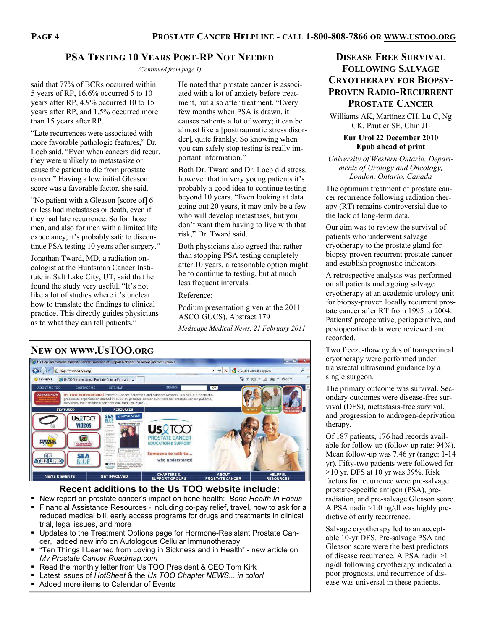## **PSA TESTING 10 YEARS POST-RP NOT NEEDED**

*(Continued from page 1)* 

said that 77% of BCRs occurred within 5 years of RP, 16.6% occurred 5 to 10 years after RP, 4.9% occurred 10 to 15 years after RP, and 1.5% occurred more than 15 years after RP.

"Late recurrences were associated with more favorable pathologic features," Dr. Loeb said. "Even when cancers did recur, they were unlikely to metastasize or cause the patient to die from prostate cancer." Having a low initial Gleason score was a favorable factor, she said.

"No patient with a Gleason [score of] 6 or less had metastases or death, even if they had late recurrence. So for those men, and also for men with a limited life expectancy, it's probably safe to discontinue PSA testing 10 years after surgery."

Jonathan Tward, MD, a radiation oncologist at the Huntsman Cancer Institute in Salt Lake City, UT, said that he found the study very useful. "It's not like a lot of studies where it's unclear how to translate the findings to clinical practice. This directly guides physicians as to what they can tell patients."

He noted that prostate cancer is associated with a lot of anxiety before treatment, but also after treatment. "Every few months when PSA is drawn, it causes patients a lot of worry; it can be almost like a [posttraumatic stress disorder], quite frankly. So knowing when you can safely stop testing is really important information."

Both Dr. Tward and Dr. Loeb did stress, however that in very young patients it's probably a good idea to continue testing beyond 10 years. "Even looking at data going out 20 years, it may only be a few who will develop metastases, but you don't want them having to live with that risk," Dr. Tward said.

Both physicians also agreed that rather than stopping PSA testing completely after 10 years, a reasonable option might be to continue to testing, but at much less frequent intervals.

#### Reference:

Podium presentation given at the 2011 ASCO GUCS), Abstract 179

*Medscape Medical News, 21 February 2011* 





**Recent additions to the Us TOO website include:** 

- New report on prostate cancer's impact on bone health: *Bone Health In Focus*
- **Financial Assistance Resources including co-pay relief, travel, how to ask for a** reduced medical bill, early access programs for drugs and treatments in clinical trial, legal issues, and more
- Updates to the Treatment Options page for Hormone-Resistant Prostate Cancer, added new info on Autologous Cellular Immunotherapy
- "Ten Things I Learned from Loving in Sickness and in Health" new article on *My Prostate Cancer Roadmap.com*
- Read the monthly letter from Us TOO President & CEO Tom Kirk
- Latest issues of *HotSheet* & the *Us TOO Chapter NEWS... in color!*
- Added more items to Calendar of Events

# **DISEASE FREE SURVIVAL FOLLOWING SALVAGE CRYOTHERAPY FOR BIOPSY-PROVEN RADIO-RECURRENT PROSTATE CANCER**

Williams AK, Martínez CH, Lu C, Ng CK, Pautler SE, Chin JL

#### **Eur Urol 22 December 2010 Epub ahead of print**

*University of Western Ontario, Departments of Urology and Oncology, London, Ontario, Canada* 

The optimum treatment of prostate cancer recurrence following radiation therapy (RT) remains controversial due to the lack of long-term data.

Our aim was to review the survival of patients who underwent salvage cryotherapy to the prostate gland for biopsy-proven recurrent prostate cancer and establish prognostic indicators.

A retrospective analysis was performed on all patients undergoing salvage cryotherapy at an academic urology unit for biopsy-proven locally recurrent prostate cancer after RT from 1995 to 2004. Patients' preoperative, perioperative, and postoperative data were reviewed and recorded.

Two freeze-thaw cycles of transperineal cryotherapy were performed under transrectal ultrasound guidance by a single surgeon.

The primary outcome was survival. Secondary outcomes were disease-free survival (DFS), metastasis-free survival, and progression to androgen-deprivation therapy.

Of 187 patients, 176 had records available for follow-up (follow-up rate: 94%). Mean follow-up was 7.46 yr (range: 1-14 yr). Fifty-two patients were followed for  $>10$  yr. DFS at 10 yr was 39%. Risk factors for recurrence were pre-salvage prostate-specific antigen (PSA), preradiation, and pre-salvage Gleason score. A PSA nadir >1.0 ng/dl was highly predictive of early recurrence.

Salvage cryotherapy led to an acceptable 10-yr DFS. Pre-salvage PSA and Gleason score were the best predictors of disease recurrence. A PSA nadir >1 ng/dl following cryotherapy indicated a poor prognosis, and recurrence of disease was universal in these patients.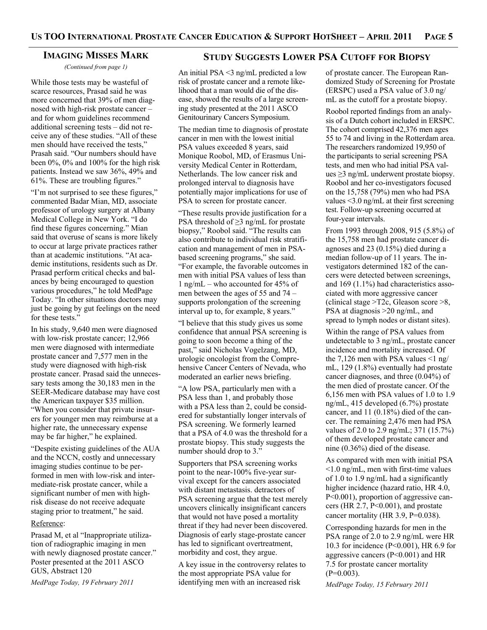#### **IMAGING MISSES MARK**

*(Continued from page 1)* 

While those tests may be wasteful of scarce resources, Prasad said he was more concerned that 39% of men diagnosed with high-risk prostate cancer – and for whom guidelines recommend additional screening tests – did not receive any of these studies. "All of these men should have received the tests," Prasah said. "Our numbers should have been 0%, 0% and 100% for the high risk patients. Instead we saw 36%, 49% and 61%. These are troubling figures."

"I'm not surprised to see these figures," commented Badar Mian, MD, associate professor of urology surgery at Albany Medical College in New York. "I do find these figures concerning." Mian said that overuse of scans is more likely to occur at large private practices rather than at academic institutions. "At academic institutions, residents such as Dr. Prasad perform critical checks and balances by being encouraged to question various procedures," he told MedPage Today. "In other situations doctors may just be going by gut feelings on the need for these tests."

In his study, 9,640 men were diagnosed with low-risk prostate cancer; 12,966 men were diagnosed with intermediate prostate cancer and 7,577 men in the study were diagnosed with high-risk prostate cancer. Prasad said the unnecessary tests among the 30,183 men in the SEER-Medicare database may have cost the American taxpayer \$35 million. "When you consider that private insurers for younger men may reimburse at a higher rate, the unnecessary expense may be far higher," he explained.

"Despite existing guidelines of the AUA and the NCCN, costly and unnecessary imaging studies continue to be performed in men with low-risk and intermediate-risk prostate cancer, while a significant number of men with highrisk disease do not receive adequate staging prior to treatment," he said.

#### Reference:

Prasad M, et al "Inappropriate utilization of radiographic imaging in men with newly diagnosed prostate cancer." Poster presented at the 2011 ASCO GUS, Abstract 120

*MedPage Today, 19 February 2011* 

## **STUDY SUGGESTS LOWER PSA CUTOFF FOR BIOPSY**

An initial PSA <3 ng/mL predicted a low risk of prostate cancer and a remote likelihood that a man would die of the disease, showed the results of a large screening study presented at the 2011 ASCO Genitourinary Cancers Symposium.

The median time to diagnosis of prostate cancer in men with the lowest initial PSA values exceeded 8 years, said Monique Roobol, MD, of Erasmus University Medical Center in Rotterdam, Netherlands. The low cancer risk and prolonged interval to diagnosis have potentially major implications for use of PSA to screen for prostate cancer.

"These results provide justification for a PSA threshold of ≥3 ng/mL for prostate biopsy," Roobol said. "The results can also contribute to individual risk stratification and management of men in PSAbased screening programs," she said. "For example, the favorable outcomes in men with initial PSA values of less than 1 ng/mL – who accounted for 45% of men between the ages of 55 and 74 – supports prolongation of the screening interval up to, for example, 8 years."

"I believe that this study gives us some confidence that annual PSA screening is going to soon become a thing of the past," said Nicholas Vogelzang, MD, urologic oncologist from the Comprehensive Cancer Centers of Nevada, who moderated an earlier news briefing.

"A low PSA, particularly men with a PSA less than 1, and probably those with a PSA less than 2, could be considered for substantially longer intervals of PSA screening. We formerly learned that a PSA of 4.0 was the threshold for a prostate biopsy. This study suggests the number should drop to 3."

Supporters that PSA screening works point to the near-100% five-year survival except for the cancers associated with distant metastasis. detractors of PSA screening argue that the test merely uncovers clinically insignificant cancers that would not have posed a mortality threat if they had never been discovered. Diagnosis of early stage-prostate cancer has led to significant overtreatment, morbidity and cost, they argue.

A key issue in the controversy relates to the most appropriate PSA value for identifying men with an increased risk

of prostate cancer. The European Randomized Study of Screening for Prostate (ERSPC) used a PSA value of 3.0 ng/ mL as the cutoff for a prostate biopsy.

Roobol reported findings from an analysis of a Dutch cohort included in ERSPC. The cohort comprised 42,376 men ages 55 to 74 and living in the Rotterdam area. The researchers randomized 19,950 of the participants to serial screening PSA tests, and men who had initial PSA values ≥3 ng/mL underwent prostate biopsy. Roobol and her co-investigators focused on the 15,758 (79%) men who had PSA values <3.0 ng/mL at their first screening test. Follow-up screening occurred at four-year intervals.

From 1993 through 2008, 915 (5.8%) of the 15,758 men had prostate cancer diagnoses and 23 (0.15%) died during a median follow-up of 11 years. The investigators determined 182 of the cancers were detected between screenings, and 169 (1.1%) had characteristics associated with more aggressive cancer (clinical stage >T2c, Gleason score >8, PSA at diagnosis >20 ng/mL, and spread to lymph nodes or distant sites).

Within the range of PSA values from undetectable to 3 ng/mL, prostate cancer incidence and mortality increased. Of the 7,126 men with PSA values  $\leq 1$  ng/ mL, 129 (1.8%) eventually had prostate cancer diagnoses, and three (0.04%) of the men died of prostate cancer. Of the 6,156 men with PSA values of 1.0 to 1.9 ng/mL, 415 developed (6.7%) prostate cancer, and 11 (0.18%) died of the cancer. The remaining 2,476 men had PSA values of 2.0 to 2.9 ng/mL; 371 (15.7%) of them developed prostate cancer and nine (0.36%) died of the disease.

As compared with men with initial PSA <1.0 ng/mL, men with first-time values of 1.0 to 1.9 ng/mL had a significantly higher incidence (hazard ratio, HR 4.0, P<0.001), proportion of aggressive cancers (HR  $2.7$ , P<0.001), and prostate cancer mortality (HR 3.9, P=0.038).

Corresponding hazards for men in the PSA range of 2.0 to 2.9 ng/mL were HR 10.3 for incidence (P<0.001), HR 6.9 for aggressive cancers (P<0.001) and HR 7.5 for prostate cancer mortality  $(P=0.003)$ .

*MedPage Today, 15 February 2011*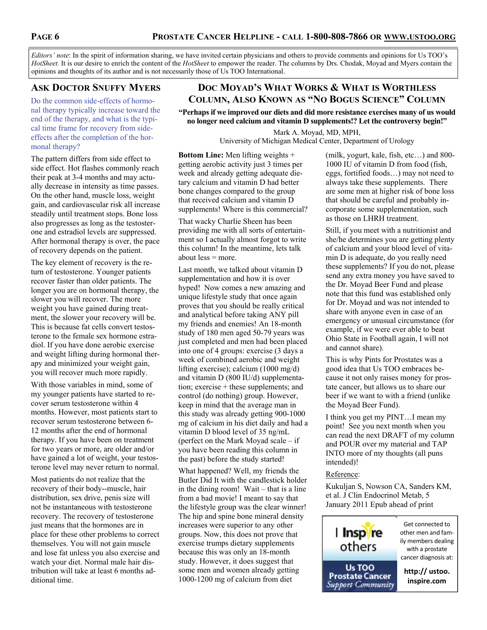*Editors' note*: In the spirit of information sharing, we have invited certain physicians and others to provide comments and opinions for Us TOO's *HotSheet.* It is our desire to enrich the content of the *HotSheet* to empower the reader. The columns by Drs. Chodak, Moyad and Myers contain the opinions and thoughts of its author and is not necessarily those of Us TOO International.

# **ASK DOCTOR SNUFFY MYERS**

Do the common side-effects of hormonal therapy typically increase toward the end of the therapy, and what is the typical time frame for recovery from sideeffects after the completion of the hormonal therapy?

The pattern differs from side effect to side effect. Hot flashes commonly reach their peak at 3-4 months and may actually decrease in intensity as time passes. On the other hand, muscle loss, weight gain, and cardiovascular risk all increase steadily until treatment stops. Bone loss also progresses as long as the testosterone and estradiol levels are suppressed. After hormonal therapy is over, the pace of recovery depends on the patient.

The key element of recovery is the return of testosterone. Younger patients recover faster than older patients. The longer you are on hormonal therapy, the slower you will recover. The more weight you have gained during treatment, the slower your recovery will be. This is because fat cells convert testosterone to the female sex hormone estradiol. If you have done aerobic exercise and weight lifting during hormonal therapy and minimized your weight gain, you will recover much more rapidly.

With those variables in mind, some of my younger patients have started to recover serum testosterone within 4 months. However, most patients start to recover serum testosterone between 6- 12 months after the end of hormonal therapy. If you have been on treatment for two years or more, are older and/or have gained a lot of weight, your testosterone level may never return to normal.

Most patients do not realize that the recovery of their body--muscle, hair distribution, sex drive, penis size will not be instantaneous with testosterone recovery. The recovery of testosterone just means that the hormones are in place for these other problems to correct themselves. You will not gain muscle and lose fat unless you also exercise and watch your diet. Normal male hair distribution will take at least 6 months additional time.

# **DOC MOYAD'S WHAT WORKS & WHAT IS WORTHLESS COLUMN, ALSO KNOWN AS "NO BOGUS SCIENCE" COLUMN**

**"Perhaps if we improved our diets and did more resistance exercises many of us would no longer need calcium and vitamin D supplements!? Let the controversy begin!"**

> Mark A. Moyad, MD, MPH, University of Michigan Medical Center, Department of Urology

**Bottom Line:** Men lifting weights + getting aerobic activity just 3 times per week and already getting adequate dietary calcium and vitamin D had better bone changes compared to the group that received calcium and vitamin D supplements! Where is this commercial?

That wacky Charlie Sheen has been providing me with all sorts of entertainment so I actually almost forgot to write this column! In the meantime, lets talk about less = more.

Last month, we talked about vitamin D supplementation and how it is over hyped! Now comes a new amazing and unique lifestyle study that once again proves that you should be really critical and analytical before taking ANY pill my friends and enemies! An 18-month study of 180 men aged 50-79 years was just completed and men had been placed into one of 4 groups: exercise (3 days a week of combined aerobic and weight lifting exercise); calcium (1000 mg/d) and vitamin D (800 IU/d) supplementation; exercise + these supplements; and control (do nothing) group. However, keep in mind that the average man in this study was already getting 900-1000 mg of calcium in his diet daily and had a vitamin D blood level of 35 ng/mL (perfect on the Mark Moyad scale – if you have been reading this column in the past) before the study started!

What happened? Well, my friends the Butler Did It with the candlestick holder in the dining room! Wait – that is a line from a bad movie! I meant to say that the lifestyle group was the clear winner! The hip and spine bone mineral density increases were superior to any other groups. Now, this does not prove that exercise trumps dietary supplements because this was only an 18-month study. However, it does suggest that some men and women already getting 1000-1200 mg of calcium from diet

(milk, yogurt, kale, fish, etc…) and 800- 1000 IU of vitamin D from food (fish, eggs, fortified foods…) may not need to always take these supplements. There are some men at higher risk of bone loss that should be careful and probably incorporate some supplementation, such as those on LHRH treatment.

Still, if you meet with a nutritionist and she/he determines you are getting plenty of calcium and your blood level of vitamin D is adequate, do you really need these supplements? If you do not, please send any extra money you have saved to the Dr. Moyad Beer Fund and please note that this fund was established only for Dr. Moyad and was not intended to share with anyone even in case of an emergency or unusual circumstance (for example, if we were ever able to beat Ohio State in Football again, I will not and cannot share).

This is why Pints for Prostates was a good idea that Us TOO embraces because it not only raises money for prostate cancer, but allows us to share our beer if we want to with a friend (unlike the Moyad Beer Fund).

I think you get my PINT…I mean my point! See you next month when you can read the next DRAFT of my column and POUR over my material and TAP INTO more of my thoughts (all puns intended)!

## Reference:

Kukuljan S, Nowson CA, Sanders KM, et al. J Clin Endocrinol Metab, 5 January 2011 Epub ahead of print

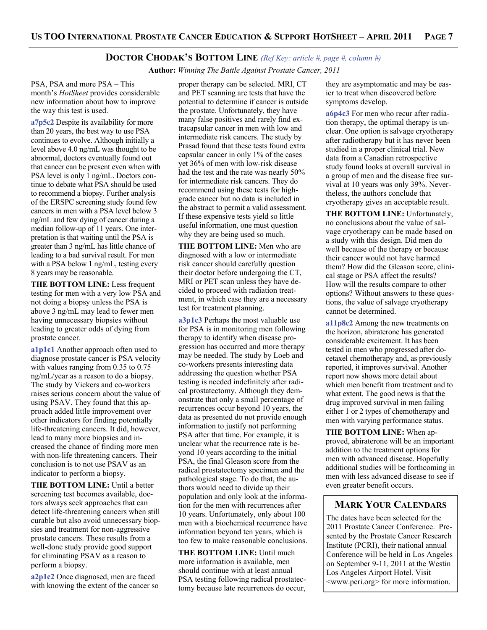#### **DOCTOR CHODAK'S BOTTOM LINE** *(Ref Key: article #, page #, column #)*

 **Author:** *Winning The Battle Against Prostate Cancer, 2011*

PSA, PSA and more PSA – This month's *HotSheet* provides considerable new information about how to improve the way this test is used.

**a7p5c2** Despite its availability for more than 20 years, the best way to use PSA continues to evolve. Although initially a level above 4.0 ng/mL was thought to be abnormal, doctors eventually found out that cancer can be present even when with PSA level is only 1 ng/mL. Doctors continue to debate what PSA should be used to recommend a biopsy. Further analysis of the ERSPC screening study found few cancers in men with a PSA level below 3 ng/mL and few dying of cancer during a median follow-up of 11 years. One interpretation is that waiting until the PSA is greater than 3 ng/mL has little chance of leading to a bad survival result. For men with a PSA below 1 ng/mL, testing every 8 years may be reasonable.

**THE BOTTOM LINE:** Less frequent testing for men with a very low PSA and not doing a biopsy unless the PSA is above 3 ng/mL may lead to fewer men having unnecessary biopsies without leading to greater odds of dying from prostate cancer.

**a1p1c1** Another approach often used to diagnose prostate cancer is PSA velocity with values ranging from 0.35 to 0.75 ng/mL/year as a reason to do a biopsy. The study by Vickers and co-workers raises serious concern about the value of using PSAV. They found that this approach added little improvement over other indicators for finding potentially life-threatening cancers. It did, however, lead to many more biopsies and increased the chance of finding more men with non-life threatening cancers. Their conclusion is to not use PSAV as an indicator to perform a biopsy.

**THE BOTTOM LINE:** Until a better screening test becomes available, doctors always seek approaches that can detect life-threatening cancers when still curable but also avoid unnecessary biopsies and treatment for non-aggressive prostate cancers. These results from a well-done study provide good support for eliminating PSAV as a reason to perform a biopsy.

**a2p1c2** Once diagnosed, men are faced with knowing the extent of the cancer so

proper therapy can be selected. MRI, CT and PET scanning are tests that have the potential to determine if cancer is outside the prostate. Unfortunately, they have many false positives and rarely find extracapsular cancer in men with low and intermediate risk cancers. The study by Prasad found that these tests found extra capsular cancer in only 1% of the cases yet 36% of men with low-risk disease had the test and the rate was nearly 50% for intermediate risk cancers. They do recommend using these tests for highgrade cancer but no data is included in the abstract to permit a valid assessment. If these expensive tests yield so little useful information, one must question why they are being used so much.

**THE BOTTOM LINE:** Men who are diagnosed with a low or intermediate risk cancer should carefully question their doctor before undergoing the CT, MRI or PET scan unless they have decided to proceed with radiation treatment, in which case they are a necessary test for treatment planning.

**a3p1c3** Perhaps the most valuable use for PSA is in monitoring men following therapy to identify when disease progression has occurred and more therapy may be needed. The study by Loeb and co-workers presents interesting data addressing the question whether PSA testing is needed indefinitely after radical prostatectomy. Although they demonstrate that only a small percentage of recurrences occur beyond 10 years, the data as presented do not provide enough information to justify not performing PSA after that time. For example, it is unclear what the recurrence rate is beyond 10 years according to the initial PSA, the final Gleason score from the radical prostatectomy specimen and the pathological stage. To do that, the authors would need to divide up their population and only look at the information for the men with recurrences after 10 years. Unfortunately, only about 100 men with a biochemical recurrence have information beyond ten years, which is too few to make reasonable conclusions.

**THE BOTTOM LINE:** Until much more information is available, men should continue with at least annual PSA testing following radical prostatectomy because late recurrences do occur,

they are asymptomatic and may be easier to treat when discovered before symptoms develop.

**a6p4c3** For men who recur after radiation therapy, the optimal therapy is unclear. One option is salvage cryotherapy after radiotherapy but it has never been studied in a proper clinical trial. New data from a Canadian retrospective study found looks at overall survival in a group of men and the disease free survival at 10 years was only 39%. Nevertheless, the authors conclude that cryotherapy gives an acceptable result.

THE BOTTOM LINE: Unfortunately, no conclusions about the value of salvage cryotherapy can be made based on a study with this design. Did men do well because of the therapy or because their cancer would not have harmed them? How did the Gleason score, clinical stage or PSA affect the results? How will the results compare to other options? Without answers to these questions, the value of salvage cryotherapy cannot be determined.

**a11p8c2** Among the new treatments on the horizon, abiraterone has generated considerable excitement. It has been tested in men who progressed after docetaxel chemotherapy and, as previously reported, it improves survival. Another report now shows more detail about which men benefit from treatment and to what extent. The good news is that the drug improved survival in men failing either 1 or 2 types of chemotherapy and men with varying performance status.

**THE BOTTOM LINE:** When approved, abiraterone will be an important addition to the treatment options for men with advanced disease. Hopefully additional studies will be forthcoming in men with less advanced disease to see if even greater benefit occurs.

## **MARK YOUR CALENDARS**

The dates have been selected for the 2011 Prostate Cancer Conference. Presented by the Prostate Cancer Research Institute (PCRI), their national annual Conference will be held in Los Angeles on September 9-11, 2011 at the Westin Los Angeles Airport Hotel. Visit <www.pcri.org> for more information.